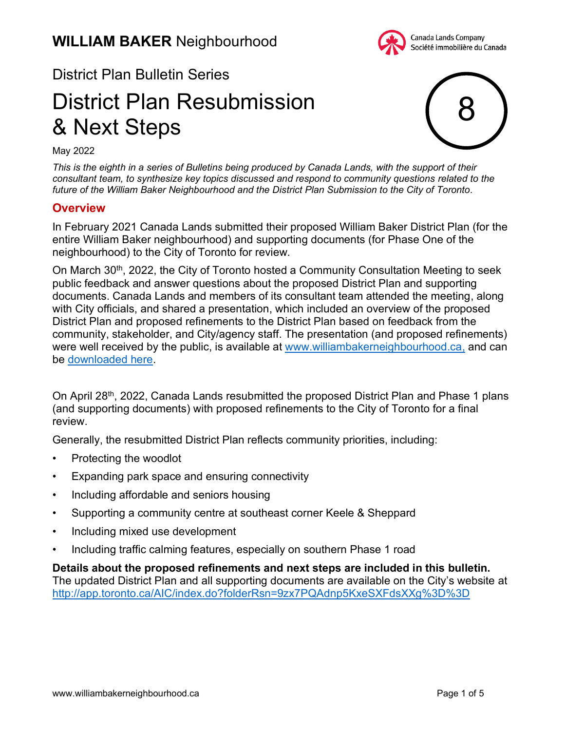

## District Plan Bulletin Series

# District Plan Resubmission & Next Steps



May 2022

*This is the eighth in a series of Bulletins being produced by Canada Lands, with the support of their consultant team, to synthesize key topics discussed and respond to community questions related to the future of the William Baker Neighbourhood and the District Plan Submission to the City of Toronto.*

#### **Overview**

In February 2021 Canada Lands submitted their proposed William Baker District Plan (for the entire William Baker neighbourhood) and supporting documents (for Phase One of the neighbourhood) to the City of Toronto for review.

On March 30<sup>th</sup>, 2022, the City of Toronto hosted a Community Consultation Meeting to seek public feedback and answer questions about the proposed District Plan and supporting documents. Canada Lands and members of its consultant team attended the meeting, along with City officials, and shared a presentation, which included an overview of the proposed District Plan and proposed refinements to the District Plan based on feedback from the community, stakeholder, and City/agency staff. The presentation (and proposed refinements) were well received by the public, is available at [www.williambakerneighbourhood.ca,](http://www.williambakerneighbourhood.ca) and can be [downloaded here.](https://www.clc-sic.ca/media/959/download)

On April 28<sup>th</sup>, 2022, Canada Lands resubmitted the proposed District Plan and Phase 1 plans (and supporting documents) with proposed refinements to the City of Toronto for a final review.

Generally, the resubmitted District Plan reflects community priorities, including:

- Protecting the woodlot
- Expanding park space and ensuring connectivity
- Including affordable and seniors housing
- Supporting a community centre at southeast corner Keele & Sheppard
- Including mixed use development
- Including traffic calming features, especially on southern Phase 1 road

**Details about the proposed refinements and next steps are included in this bulletin.** The updated District Plan and all supporting documents are available on the City's website at <http://app.toronto.ca/AIC/index.do?folderRsn=9zx7PQAdnp5KxeSXFdsXXg%3D%3D>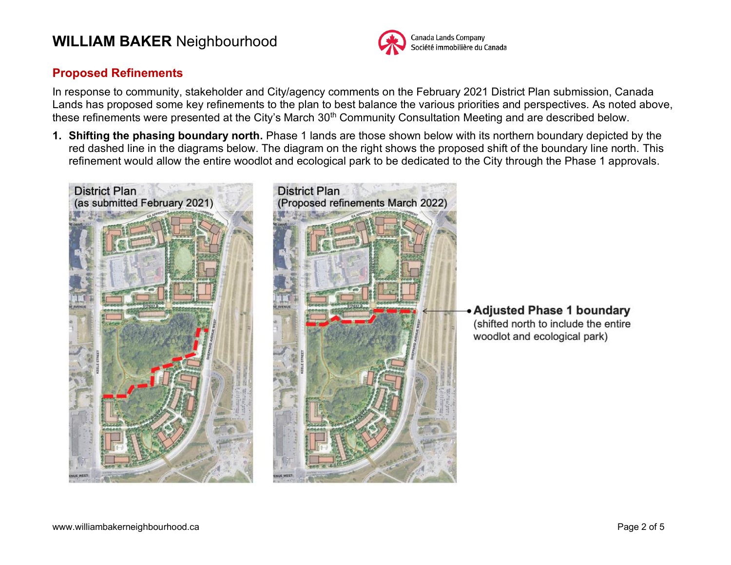

#### **Proposed Refinements**

In response to community, stakeholder and City/agency comments on the February 2021 District Plan submission, Canada Lands has proposed some key refinements to the plan to best balance the various priorities and perspectives. As noted above, these refinements were presented at the City's March 30<sup>th</sup> Community Consultation Meeting and are described below.

**1. Shifting the phasing boundary north.** Phase 1 lands are those shown below with its northern boundary depicted by the red dashed line in the diagrams below. The diagram on the right shows the proposed shift of the boundary line north. This refinement would allow the entire woodlot and ecological park to be dedicated to the City through the Phase 1 approvals.

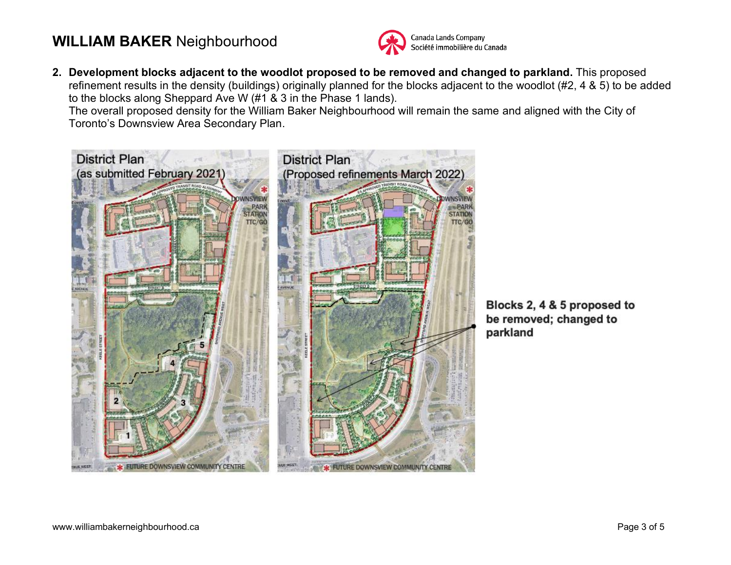

**2. Development blocks adjacent to the woodlot proposed to be removed and changed to parkland.** This proposed refinement results in the density (buildings) originally planned for the blocks adjacent to the woodlot (#2, 4 & 5) to be added to the blocks along Sheppard Ave W (#1 & 3 in the Phase 1 lands).

The overall proposed density for the William Baker Neighbourhood will remain the same and aligned with the City of Toronto's Downsview Area Secondary Plan.



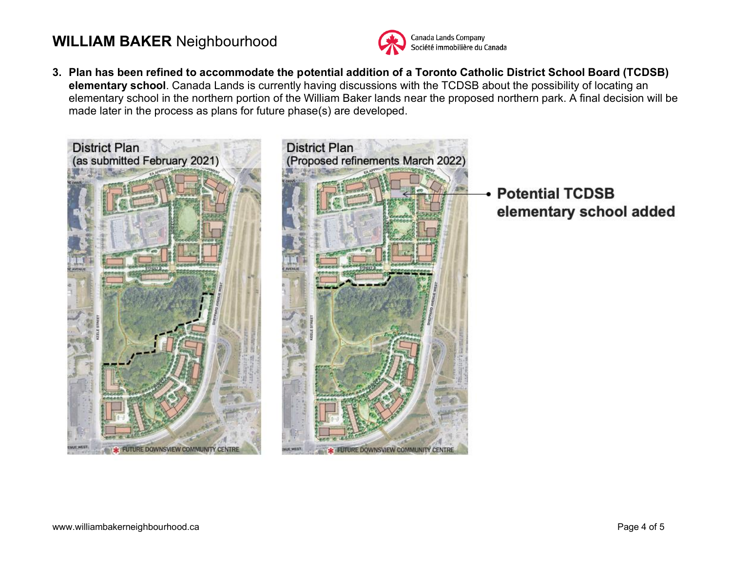

**3. Plan has been refined to accommodate the potential addition of a Toronto Catholic District School Board (TCDSB) elementary school**. Canada Lands is currently having discussions with the TCDSB about the possibility of locating an elementary school in the northern portion of the William Baker lands near the proposed northern park. A final decision will be made later in the process as plans for future phase(s) are developed.



**Potential TCDSB** elementary school added